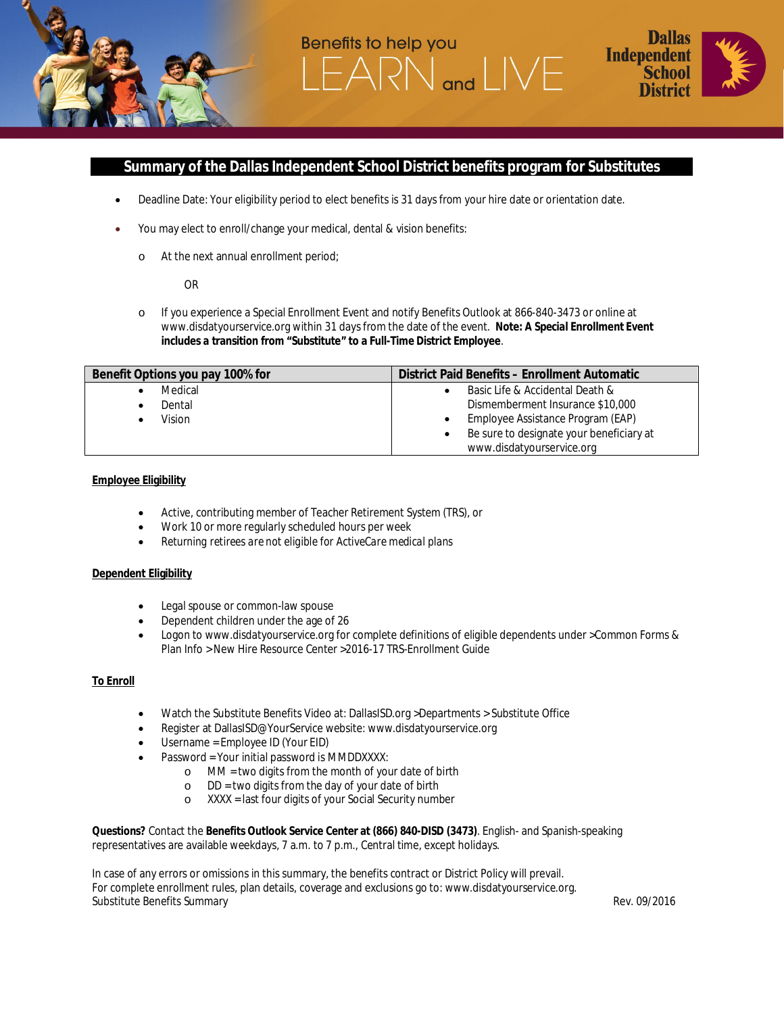

# **Summary of the Dallas Independent School District benefits program for Substitutes**

 $and$ 

· Deadline Date: Your eligibility period to elect benefits is 31 days from your hire date or orientation date.

Benefits to help you

- You may elect to enroll/change your medical, dental & vision benefits:
	- o At the next annual enrollment period;

OR

o If you experience a Special Enrollment Event and notify Benefits Outlook at 866-840-3473 or online at www.disdatyourservice.org within 31 days from the date of the event. **Note: A Special Enrollment Event includes a transition from "Substitute" to a Full-Time District Employee**.

| Benefit Options you pay 100% for | District Paid Benefits - Enrollment Automatic |
|----------------------------------|-----------------------------------------------|
|                                  |                                               |
| Medical                          | Basic Life & Accidental Death &               |
| Dental                           | Dismemberment Insurance \$10,000              |
| Vision                           | Employee Assistance Program (EAP)             |
|                                  | Be sure to designate your beneficiary at      |
|                                  | www.disdatyourservice.org                     |

### **Employee Eligibility**

- · Active, contributing member of Teacher Retirement System (TRS), or
- · Work 10 or more regularly scheduled hours per week
- · *Returning retirees are not eligible for ActiveCare medical plans*

### **Dependent Eligibility**

- · Legal spouse or common-law spouse
- Dependent children under the age of 26
- · Logon to www.disdatyourservice.org for complete definitions of eligible dependents under >Common Forms & Plan Info > New Hire Resource Center >2016-17 TRS-Enrollment Guide

### **To Enroll**

- · Watch the Substitute Benefits Video at: DallasISD.org >Departments > Substitute Office
- · Register at DallasISD@YourService website: www.disdatyourservice.org
- Username = Employee ID (Your EID)
- Password = Your initial password is MMDDXXXX:
	- o MM = two digits from the month of your date of birth
	- $o$  DD = two digits from the day of your date of birth
	- o XXXX = last four digits of your Social Security number

**Questions?** Contact the **Benefits Outlook Service Center at (866) 840-DISD (3473)**. English- and Spanish-speaking representatives are available weekdays, 7 a.m. to 7 p.m., Central time, except holidays.

In case of any errors or omissions in this summary, the benefits contract or District Policy will prevail. For complete enrollment rules, plan details, coverage and exclusions go to: www.disdatyourservice.org. Substitute Benefits Summary **Rev. 09/2016** Contract Contract Contract Contract Contract Contract Contract Contract Contract Contract Contract Contract Contract Contract Contract Contract Contract Contract Contract Contract